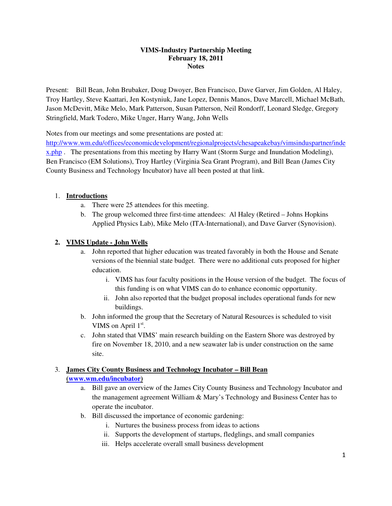#### **VIMS-Industry Partnership Meeting February 18, 2011 Notes**

Present: Bill Bean, John Brubaker, Doug Dwoyer, Ben Francisco, Dave Garver, Jim Golden, Al Haley, Troy Hartley, Steve Kaattari, Jen Kostyniuk, Jane Lopez, Dennis Manos, Dave Marcell, Michael McBath, Jason McDevitt, Mike Melo, Mark Patterson, Susan Patterson, Neil Rondorff, Leonard Sledge, Gregory Stringfield, Mark Todero, Mike Unger, Harry Wang, John Wells

Notes from our meetings and some presentations are posted at:

http://www.wm.edu/offices/economicdevelopment/regionalprojects/chesapeakebay/vimsinduspartner/inde x.php . The presentations from this meeting by Harry Want (Storm Surge and Inundation Modeling), Ben Francisco (EM Solutions), Troy Hartley (Virginia Sea Grant Program), and Bill Bean (James City County Business and Technology Incubator) have all been posted at that link.

# 1. **Introductions**

- a. There were 25 attendees for this meeting.
- b. The group welcomed three first-time attendees: Al Haley (Retired Johns Hopkins Applied Physics Lab), Mike Melo (ITA-International), and Dave Garver (Synovision).

# **2. VIMS Update - John Wells**

- a. John reported that higher education was treated favorably in both the House and Senate versions of the biennial state budget. There were no additional cuts proposed for higher education.
	- i. VIMS has four faculty positions in the House version of the budget. The focus of this funding is on what VIMS can do to enhance economic opportunity.
	- ii. John also reported that the budget proposal includes operational funds for new buildings.
- b. John informed the group that the Secretary of Natural Resources is scheduled to visit VIMS on April 1<sup>st</sup>.
- c. John stated that VIMS' main research building on the Eastern Shore was destroyed by fire on November 18, 2010, and a new seawater lab is under construction on the same site.

# 3. **James City County Business and Technology Incubator – Bill Bean**

#### **(www.wm.edu/incubator)**

- a. Bill gave an overview of the James City County Business and Technology Incubator and the management agreement William & Mary's Technology and Business Center has to operate the incubator.
- b. Bill discussed the importance of economic gardening:
	- i. Nurtures the business process from ideas to actions
	- ii. Supports the development of startups, fledglings, and small companies
	- iii. Helps accelerate overall small business development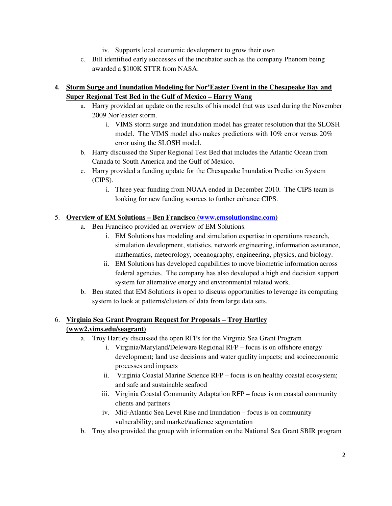- iv. Supports local economic development to grow their own
- c. Bill identified early successes of the incubator such as the company Phenom being awarded a \$100K STTR from NASA.

# **4. Storm Surge and Inundation Modeling for Nor'Easter Event in the Chesapeake Bay and Super Regional Test Bed in the Gulf of Mexico – Harry Wang**

- a. Harry provided an update on the results of his model that was used during the November 2009 Nor'easter storm.
	- i. VIMS storm surge and inundation model has greater resolution that the SLOSH model. The VIMS model also makes predictions with 10% error versus 20% error using the SLOSH model.
- b. Harry discussed the Super Regional Test Bed that includes the Atlantic Ocean from Canada to South America and the Gulf of Mexico.
- c. Harry provided a funding update for the Chesapeake Inundation Prediction System (CIPS).
	- i. Three year funding from NOAA ended in December 2010. The CIPS team is looking for new funding sources to further enhance CIPS.

# 5. **Overview of EM Solutions – Ben Francisco (www.emsolutionsinc.com)**

- a. Ben Francisco provided an overview of EM Solutions.
	- i. EM Solutions has modeling and simulation expertise in operations research, simulation development, statistics, network engineering, information assurance, mathematics, meteorology, oceanography, engineering, physics, and biology.
	- ii. EM Solutions has developed capabilities to move biometric information across federal agencies. The company has also developed a high end decision support system for alternative energy and environmental related work.
- b. Ben stated that EM Solutions is open to discuss opportunities to leverage its computing system to look at patterns/clusters of data from large data sets.

# 6. **Virginia Sea Grant Program Request for Proposals – Troy Hartley (www2.vims.edu/seagrant)**

- a. Troy Hartley discussed the open RFPs for the Virginia Sea Grant Program
	- i. Virginia/Maryland/Deleware Regional RFP focus is on offshore energy development; land use decisions and water quality impacts; and socioeconomic processes and impacts
	- ii. Virginia Coastal Marine Science RFP focus is on healthy coastal ecosystem; and safe and sustainable seafood
	- iii. Virginia Coastal Community Adaptation RFP focus is on coastal community clients and partners
	- iv. Mid-Atlantic Sea Level Rise and Inundation focus is on community vulnerability; and market/audience segmentation
- b. Troy also provided the group with information on the National Sea Grant SBIR program